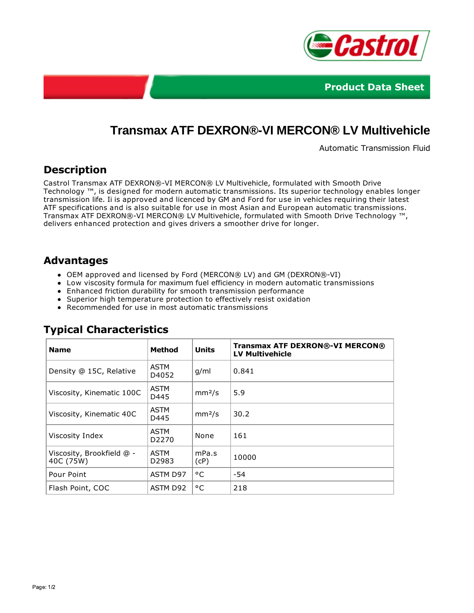



# **Transmax ATF DEXRON®-VI MERCON® LV Multivehicle**

Automatic Transmission Fluid

### **Description**

Castrol Transmax ATF DEXRON®-VI MERCON® LV Multivehicle, formulated with Smooth Drive Technology ™, is designed for modern automatic transmissions. Its superior technology enables longer transmission life. Ii is approved and licenced by GM and Ford for use in vehicles requiring their latest ATF specifications and is also suitable for use in most Asian and European automatic transmissions. Transmax ATF DEXRON®-VI MERCON® LV Multivehicle, formulated with Smooth Drive Technology ™, delivers enhanced protection and gives drivers a smoother drive for longer.

#### **Advantages**

- OEM approved and licensed by Ford (MERCON® LV) and GM (DEXRON®-VI)
- Low viscosity formula for maximum fuel efficiency in modern automatic transmissions
- Enhanced friction durability for smooth transmission performance
- Superior high temperature protection to effectively resist oxidation
- Recommended for use in most automatic transmissions

| <b>Name</b>                            | <b>Method</b>                    | <b>Units</b>       | <b>Transmax ATF DEXRON®-VI MERCON®</b><br><b>LV Multivehicle</b> |
|----------------------------------------|----------------------------------|--------------------|------------------------------------------------------------------|
| Density @ 15C, Relative                | <b>ASTM</b><br>D4052             | g/ml               | 0.841                                                            |
| Viscosity, Kinematic 100C              | <b>ASTM</b><br>D445              | mm <sup>2</sup> /s | 5.9                                                              |
| Viscosity, Kinematic 40C               | <b>ASTM</b><br>D445              | mm <sup>2</sup> /s | 30.2                                                             |
| Viscosity Index                        | <b>ASTM</b><br>D <sub>2270</sub> | None               | 161                                                              |
| Viscosity, Brookfield @ -<br>40C (75W) | <b>ASTM</b><br>D <sub>2983</sub> | mPa.s<br>(CP)      | 10000                                                            |
| Pour Point                             | ASTM D97                         | °C                 | -54                                                              |
| Flash Point, COC                       | ASTM D92                         | °C                 | 218                                                              |

# **Typical Characteristics**